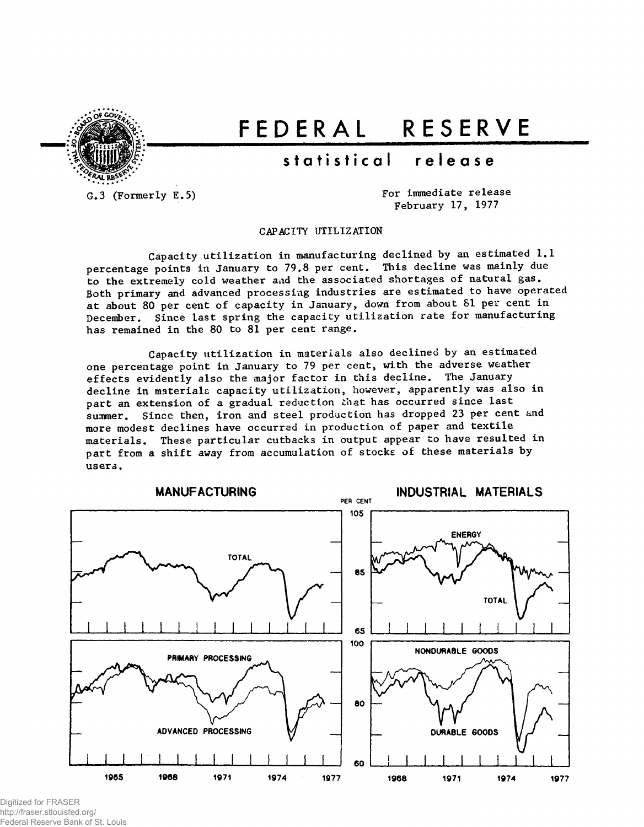

# FEDERA L RESERV E

## statistical release

G.3 (Formerly E.5)

For immediate release February 17, 1977

CAPACITY UTILIZATION

Capacity utilization in manufacturing declined by an estimated 1.1 percentage points in January to 79.8 per cent. This decline was mainly due to the extremely cold weather and the associated shortages of natural gas. Both primary and advanced processing industries are estimated to have operated at about 80 per cent of capacity in January, down from about 81 per cent in December. Since last spring the capacity utilization rate for manufacturing has remained in the 80 to 81 per cent range.

Capacity utilization in materials also declined by an estimated one percentage point in January to 79 per cent, with the adverse weather effects evidently also the major factor in this decline. The January decline in materials capacity utilization, however, apparently was also in part an extension of a gradual reduction that has occurred since last summer. Since then, iron and steel production has dropped 23 per cent and more modest declines have occurred in production of paper and textile materials. These particular cutbacks in output appear to have resulted in part from a shift away from accumulation of stocks of these materials by users.



Digitized for FRASER http://fraser.stlouisfed.org/ Federal Reserve Bank of St. Louis